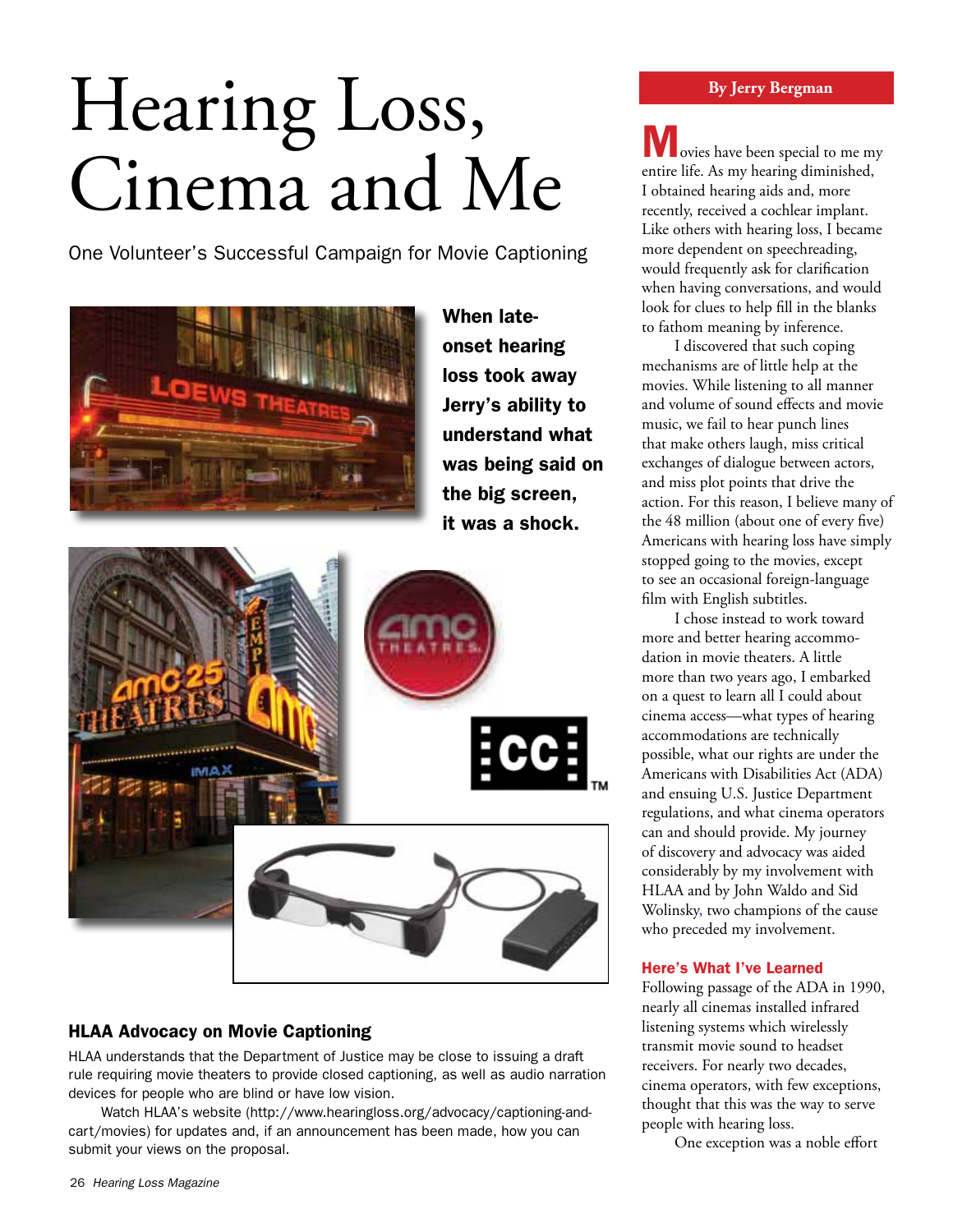## Hearing Loss, Cinema and Me

One Volunteer's Successful Campaign for Movie Captioning



When lateonset hearing loss took away Jerry's ability to understand what was being said on the big screen, it was a shock.



## HLAA Advocacy on Movie Captioning

HLAA understands that the Department of Justice may be close to issuing a draft rule requiring movie theaters to provide closed captioning, as well as audio narration devices for people who are blind or have low vision.

Watch HLAA's website (http://www.hearingloss.org/advocacy/captioning-andcart/movies) for updates and, if an announcement has been made, how you can submit your views on the proposal.

Movies have been special to me my entire life. As my hearing diminished, I obtained hearing aids and, more recently, received a cochlear implant. Like others with hearing loss, I became more dependent on speechreading, would frequently ask for clarification when having conversations, and would look for clues to help fill in the blanks to fathom meaning by inference.

I discovered that such coping mechanisms are of little help at the movies. While listening to all manner and volume of sound effects and movie music, we fail to hear punch lines that make others laugh, miss critical exchanges of dialogue between actors, and miss plot points that drive the action. For this reason, I believe many of the 48 million (about one of every five) Americans with hearing loss have simply stopped going to the movies, except to see an occasional foreign-language film with English subtitles.

I chose instead to work toward more and better hearing accommodation in movie theaters. A little more than two years ago, I embarked on a quest to learn all I could about cinema access—what types of hearing accommodations are technically possible, what our rights are under the Americans with Disabilities Act (ADA) and ensuing U.S. Justice Department regulations, and what cinema operators can and should provide. My journey of discovery and advocacy was aided considerably by my involvement with HLAA and by John Waldo and Sid Wolinsky, two champions of the cause who preceded my involvement.

## Here's What I've Learned

Following passage of the ADA in 1990, nearly all cinemas installed infrared listening systems which wirelessly transmit movie sound to headset receivers. For nearly two decades, cinema operators, with few exceptions, thought that this was the way to serve people with hearing loss.

One exception was a noble effort